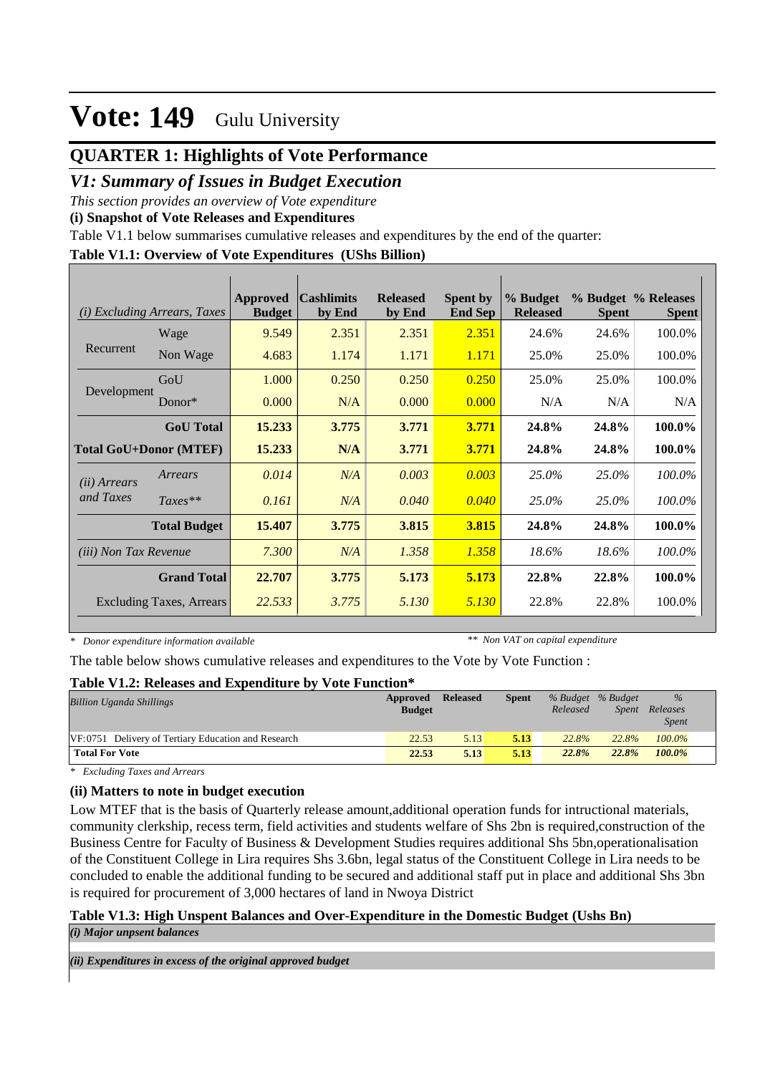## **QUARTER 1: Highlights of Vote Performance**

### *V1: Summary of Issues in Budget Execution*

*This section provides an overview of Vote expenditure* 

**(i) Snapshot of Vote Releases and Expenditures**

Table V1.1 below summarises cumulative releases and expenditures by the end of the quarter:

#### **Table V1.1: Overview of Vote Expenditures (UShs Billion)**

| (i)                          | <i>Excluding Arrears, Taxes</i> | Approved<br><b>Budget</b> | <b>Cashlimits</b><br>by End | <b>Released</b><br>by End | <b>Spent by</b><br><b>End Sep</b> | % Budget<br><b>Released</b> | <b>Spent</b> | % Budget % Releases<br><b>Spent</b> |
|------------------------------|---------------------------------|---------------------------|-----------------------------|---------------------------|-----------------------------------|-----------------------------|--------------|-------------------------------------|
|                              | Wage                            | 9.549                     | 2.351                       | 2.351                     | 2.351                             | 24.6%                       | 24.6%        | 100.0%                              |
| Recurrent                    | Non Wage                        | 4.683                     | 1.174                       | 1.171                     | 1.171                             | 25.0%                       | 25.0%        | 100.0%                              |
|                              | GoU                             | 1.000                     | 0.250                       | 0.250                     | 0.250                             | 25.0%                       | 25.0%        | 100.0%                              |
| Development                  | $Donor*$                        | 0.000                     | N/A                         | 0.000                     | 0.000                             | N/A                         | N/A          | N/A                                 |
|                              | <b>GoU</b> Total                | 15.233                    | 3.775                       | 3.771                     | 3.771                             | 24.8%                       | 24.8%        | 100.0%                              |
|                              | <b>Total GoU+Donor (MTEF)</b>   | 15.233                    | N/A                         | 3.771                     | 3.771                             | 24.8%                       | 24.8%        | 100.0%                              |
| ( <i>ii</i> ) Arrears        | Arrears                         | 0.014                     | N/A                         | 0.003                     | 0.003                             | 25.0%                       | 25.0%        | 100.0%                              |
| and Taxes                    | $Taxes**$                       | 0.161                     | N/A                         | 0.040                     | 0.040                             | 25.0%                       | 25.0%        | 100.0%                              |
|                              | <b>Total Budget</b>             | 15.407                    | 3.775                       | 3.815                     | 3.815                             | 24.8%                       | 24.8%        | 100.0%                              |
| <i>(iii)</i> Non Tax Revenue |                                 | 7.300                     | N/A                         | 1.358                     | 1.358                             | 18.6%                       | 18.6%        | 100.0%                              |
|                              | <b>Grand Total</b>              | 22.707                    | 3.775                       | 5.173                     | 5.173                             | 22.8%                       | 22.8%        | 100.0%                              |
|                              | <b>Excluding Taxes, Arrears</b> | 22.533                    | 3.775                       | 5.130                     | 5.130                             | 22.8%                       | 22.8%        | 100.0%                              |

*\* Donor expenditure information available*

*\*\* Non VAT on capital expenditure*

The table below shows cumulative releases and expenditures to the Vote by Vote Function :

#### **Table V1.2: Releases and Expenditure by Vote Function\***

| <b>Billion Uganda Shillings</b>                     | Approved<br><b>Budget</b> | <b>Released</b> | Spent | % Budget % Budget<br>Released | <i>Spent</i> | $\frac{9}{6}$<br>Releases<br><b>Spent</b> |  |
|-----------------------------------------------------|---------------------------|-----------------|-------|-------------------------------|--------------|-------------------------------------------|--|
| VF:0751 Delivery of Tertiary Education and Research | 22.53                     | 5.13            | 5.13  | 22.8%                         | 22.8%        | $100.0\%$                                 |  |
| <b>Total For Vote</b>                               | 22.53                     | 5.13            | 5.13  | 22.8%                         | 22.8%        | $100.0\%$                                 |  |

*\* Excluding Taxes and Arrears*

### **(ii) Matters to note in budget execution**

Low MTEF that is the basis of Quarterly release amount,additional operation funds for intructional materials, community clerkship, recess term, field activities and students welfare of Shs 2bn is required,construction of the Business Centre for Faculty of Business & Development Studies requires additional Shs 5bn,operationalisation of the Constituent College in Lira requires Shs 3.6bn, legal status of the Constituent College in Lira needs to be concluded to enable the additional funding to be secured and additional staff put in place and additional Shs 3bn is required for procurement of 3,000 hectares of land in Nwoya District

### **Table V1.3: High Unspent Balances and Over-Expenditure in the Domestic Budget (Ushs Bn)**

*(i) Major unpsent balances*

*(ii) Expenditures in excess of the original approved budget*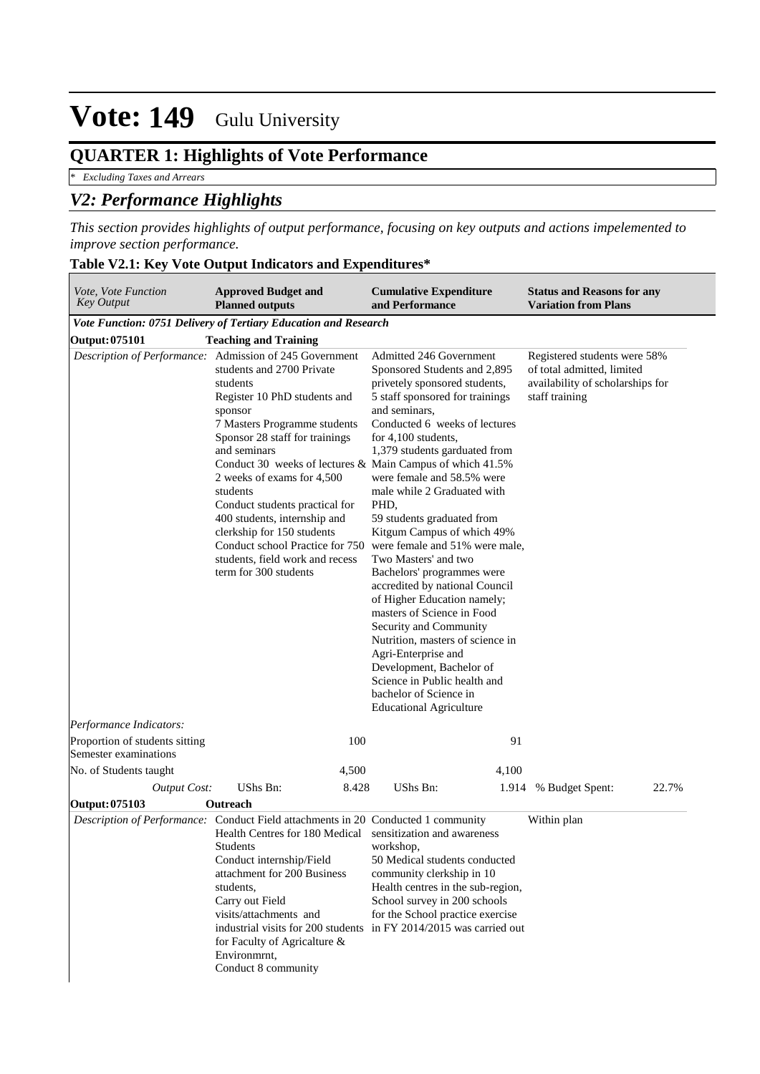## **QUARTER 1: Highlights of Vote Performance**

*\* Excluding Taxes and Arrears*

## *V2: Performance Highlights*

*This section provides highlights of output performance, focusing on key outputs and actions impelemented to improve section performance.*

| Vote, Vote Function<br><b>Key Output</b>      | <b>Approved Budget and</b><br><b>Planned outputs</b>                                                                                                                                                                                                                                                                                                                                                                                                                                                                                | <b>Cumulative Expenditure</b><br>and Performance                                                                                                                                                                                                                                                                                                                                                                                                                                                                                                                                                                                                                                                                                                                             | <b>Status and Reasons for any</b><br><b>Variation from Plans</b>                                                 |
|-----------------------------------------------|-------------------------------------------------------------------------------------------------------------------------------------------------------------------------------------------------------------------------------------------------------------------------------------------------------------------------------------------------------------------------------------------------------------------------------------------------------------------------------------------------------------------------------------|------------------------------------------------------------------------------------------------------------------------------------------------------------------------------------------------------------------------------------------------------------------------------------------------------------------------------------------------------------------------------------------------------------------------------------------------------------------------------------------------------------------------------------------------------------------------------------------------------------------------------------------------------------------------------------------------------------------------------------------------------------------------------|------------------------------------------------------------------------------------------------------------------|
|                                               | Vote Function: 0751 Delivery of Tertiary Education and Research                                                                                                                                                                                                                                                                                                                                                                                                                                                                     |                                                                                                                                                                                                                                                                                                                                                                                                                                                                                                                                                                                                                                                                                                                                                                              |                                                                                                                  |
| Output: 075101                                | <b>Teaching and Training</b>                                                                                                                                                                                                                                                                                                                                                                                                                                                                                                        |                                                                                                                                                                                                                                                                                                                                                                                                                                                                                                                                                                                                                                                                                                                                                                              |                                                                                                                  |
| Performance Indicators:                       | Description of Performance: Admission of 245 Government<br>students and 2700 Private<br>students<br>Register 10 PhD students and<br>sponsor<br>7 Masters Programme students<br>Sponsor 28 staff for trainings<br>and seminars<br>Conduct 30 weeks of lectures & Main Campus of which 41.5%<br>2 weeks of exams for 4,500<br>students<br>Conduct students practical for<br>400 students, internship and<br>clerkship for 150 students<br>Conduct school Practice for 750<br>students, field work and recess<br>term for 300 students | Admitted 246 Government<br>Sponsored Students and 2,895<br>privetely sponsored students,<br>5 staff sponsored for trainings<br>and seminars,<br>Conducted 6 weeks of lectures<br>for $4,100$ students,<br>1,379 students garduated from<br>were female and 58.5% were<br>male while 2 Graduated with<br>PHD,<br>59 students graduated from<br>Kitgum Campus of which 49%<br>were female and 51% were male,<br>Two Masters' and two<br>Bachelors' programmes were<br>accredited by national Council<br>of Higher Education namely;<br>masters of Science in Food<br>Security and Community<br>Nutrition, masters of science in<br>Agri-Enterprise and<br>Development, Bachelor of<br>Science in Public health and<br>bachelor of Science in<br><b>Educational Agriculture</b> | Registered students were 58%<br>of total admitted, limited<br>availability of scholarships for<br>staff training |
| Proportion of students sitting                | 100                                                                                                                                                                                                                                                                                                                                                                                                                                                                                                                                 | 91                                                                                                                                                                                                                                                                                                                                                                                                                                                                                                                                                                                                                                                                                                                                                                           |                                                                                                                  |
| Semester examinations                         | 4,500                                                                                                                                                                                                                                                                                                                                                                                                                                                                                                                               | 4,100                                                                                                                                                                                                                                                                                                                                                                                                                                                                                                                                                                                                                                                                                                                                                                        |                                                                                                                  |
| No. of Students taught<br><b>Output Cost:</b> | UShs Bn:<br>8.428                                                                                                                                                                                                                                                                                                                                                                                                                                                                                                                   | UShs Bn:<br>1.914                                                                                                                                                                                                                                                                                                                                                                                                                                                                                                                                                                                                                                                                                                                                                            | % Budget Spent:<br>22.7%                                                                                         |
| Output: 075103                                | Outreach                                                                                                                                                                                                                                                                                                                                                                                                                                                                                                                            |                                                                                                                                                                                                                                                                                                                                                                                                                                                                                                                                                                                                                                                                                                                                                                              |                                                                                                                  |
|                                               | Description of Performance: Conduct Field attachments in 20 Conducted 1 community<br>Health Centres for 180 Medical sensitization and awareness<br>Students<br>Conduct internship/Field<br>attachment for 200 Business<br>students,<br>Carry out Field<br>visits/attachments and<br>industrial visits for 200 students<br>for Faculty of Agricalture &<br>Environmrnt,<br>Conduct 8 community                                                                                                                                       | workshop,<br>50 Medical students conducted<br>community clerkship in 10<br>Health centres in the sub-region,<br>School survey in 200 schools<br>for the School practice exercise<br>in FY 2014/2015 was carried out                                                                                                                                                                                                                                                                                                                                                                                                                                                                                                                                                          | Within plan                                                                                                      |

#### **Table V2.1: Key Vote Output Indicators and Expenditures\***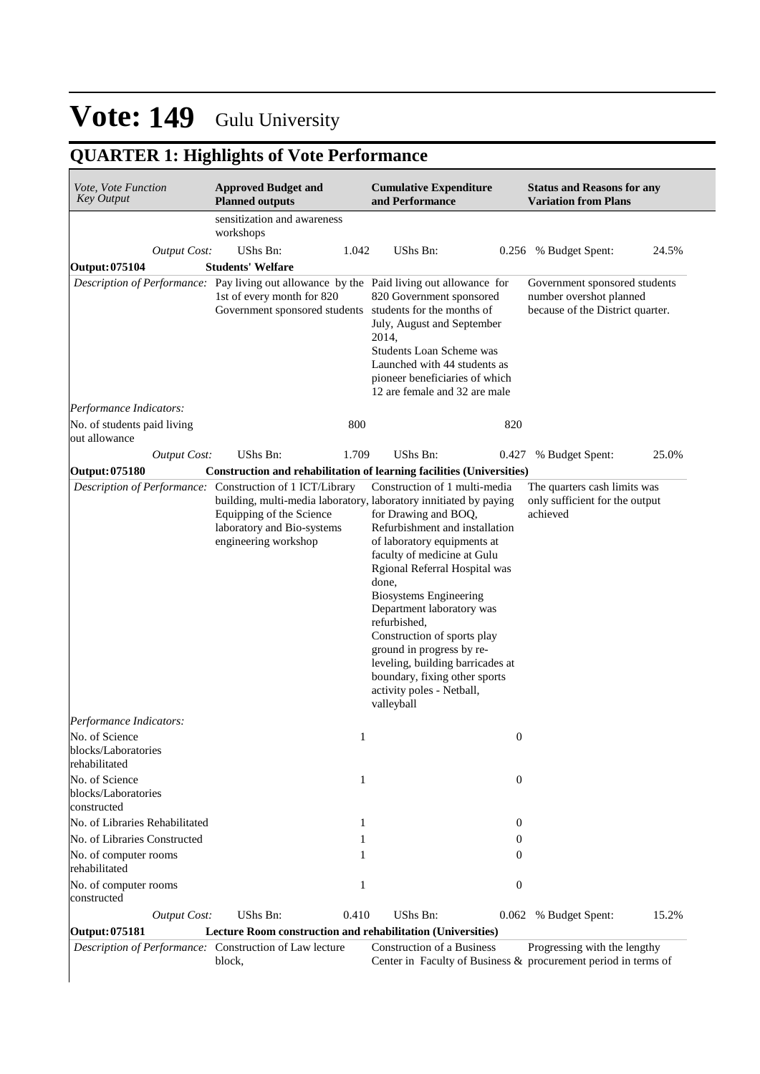## **QUARTER 1: Highlights of Vote Performance**

| Vote, Vote Function<br><b>Key Output</b>                              | <b>Approved Budget and</b><br><b>Planned outputs</b>                                                                                        | <b>Cumulative Expenditure</b><br>and Performance                                                                                                                                                                                                                                                                                                                                                                                                                                                                               | <b>Status and Reasons for any</b><br><b>Variation from Plans</b>                             |
|-----------------------------------------------------------------------|---------------------------------------------------------------------------------------------------------------------------------------------|--------------------------------------------------------------------------------------------------------------------------------------------------------------------------------------------------------------------------------------------------------------------------------------------------------------------------------------------------------------------------------------------------------------------------------------------------------------------------------------------------------------------------------|----------------------------------------------------------------------------------------------|
|                                                                       | sensitization and awareness<br>workshops                                                                                                    |                                                                                                                                                                                                                                                                                                                                                                                                                                                                                                                                |                                                                                              |
| <b>Output Cost:</b>                                                   | UShs Bn:                                                                                                                                    | UShs Bn:<br>1.042                                                                                                                                                                                                                                                                                                                                                                                                                                                                                                              | 24.5%<br>0.256 % Budget Spent:                                                               |
| Output: 075104                                                        | <b>Students' Welfare</b>                                                                                                                    |                                                                                                                                                                                                                                                                                                                                                                                                                                                                                                                                |                                                                                              |
|                                                                       | 1st of every month for 820<br>Government sponsored students students for the months of                                                      | Description of Performance: Pay living out allowance by the Paid living out allowance for<br>820 Government sponsored<br>July, August and September<br>2014,<br>Students Loan Scheme was<br>Launched with 44 students as<br>pioneer beneficiaries of which<br>12 are female and 32 are male                                                                                                                                                                                                                                    | Government sponsored students<br>number overshot planned<br>because of the District quarter. |
| Performance Indicators:                                               |                                                                                                                                             |                                                                                                                                                                                                                                                                                                                                                                                                                                                                                                                                |                                                                                              |
| No. of students paid living<br>out allowance                          |                                                                                                                                             | 800<br>820                                                                                                                                                                                                                                                                                                                                                                                                                                                                                                                     |                                                                                              |
| <b>Output Cost:</b>                                                   | <b>UShs Bn:</b>                                                                                                                             | UShs Bn:<br>1.709<br>0.427                                                                                                                                                                                                                                                                                                                                                                                                                                                                                                     | 25.0%<br>% Budget Spent:                                                                     |
| Output: 075180                                                        |                                                                                                                                             | Construction and rehabilitation of learning facilities (Universities)                                                                                                                                                                                                                                                                                                                                                                                                                                                          |                                                                                              |
| Performance Indicators:                                               | Description of Performance: Construction of 1 ICT/Library<br>Equipping of the Science<br>laboratory and Bio-systems<br>engineering workshop | Construction of 1 multi-media<br>building, multi-media laboratory, laboratory innitiated by paying<br>for Drawing and BOQ,<br>Refurbishment and installation<br>of laboratory equipments at<br>faculty of medicine at Gulu<br>Rgional Referral Hospital was<br>done,<br><b>Biosystems Engineering</b><br>Department laboratory was<br>refurbished,<br>Construction of sports play<br>ground in progress by re-<br>leveling, building barricades at<br>boundary, fixing other sports<br>activity poles - Netball,<br>valleyball | The quarters cash limits was<br>only sufficient for the output<br>achieved                   |
| No. of Science<br>blocks/Laboratories                                 |                                                                                                                                             | 1                                                                                                                                                                                                                                                                                                                                                                                                                                                                                                                              | $\boldsymbol{0}$                                                                             |
| rehabilitated<br>No. of Science<br>blocks/Laboratories<br>constructed |                                                                                                                                             | $\mathbf{1}$                                                                                                                                                                                                                                                                                                                                                                                                                                                                                                                   | $\boldsymbol{0}$                                                                             |
| No. of Libraries Rehabilitated                                        |                                                                                                                                             | 1                                                                                                                                                                                                                                                                                                                                                                                                                                                                                                                              | $\boldsymbol{0}$                                                                             |
| No. of Libraries Constructed                                          |                                                                                                                                             | 1                                                                                                                                                                                                                                                                                                                                                                                                                                                                                                                              | 0                                                                                            |
| No. of computer rooms<br>rehabilitated                                |                                                                                                                                             | 1                                                                                                                                                                                                                                                                                                                                                                                                                                                                                                                              | 0                                                                                            |
| No. of computer rooms<br>constructed                                  |                                                                                                                                             | 1                                                                                                                                                                                                                                                                                                                                                                                                                                                                                                                              | $\boldsymbol{0}$                                                                             |
| <b>Output Cost:</b>                                                   | <b>UShs Bn:</b><br>0.410                                                                                                                    | UShs Bn:<br>0.062                                                                                                                                                                                                                                                                                                                                                                                                                                                                                                              | 15.2%<br>% Budget Spent:                                                                     |
| <b>Output: 075181</b>                                                 | Lecture Room construction and rehabilitation (Universities)                                                                                 |                                                                                                                                                                                                                                                                                                                                                                                                                                                                                                                                |                                                                                              |
| Description of Performance: Construction of Law lecture               | block,                                                                                                                                      | <b>Construction of a Business</b><br>Center in Faculty of Business & procurement period in terms of                                                                                                                                                                                                                                                                                                                                                                                                                            | Progressing with the lengthy                                                                 |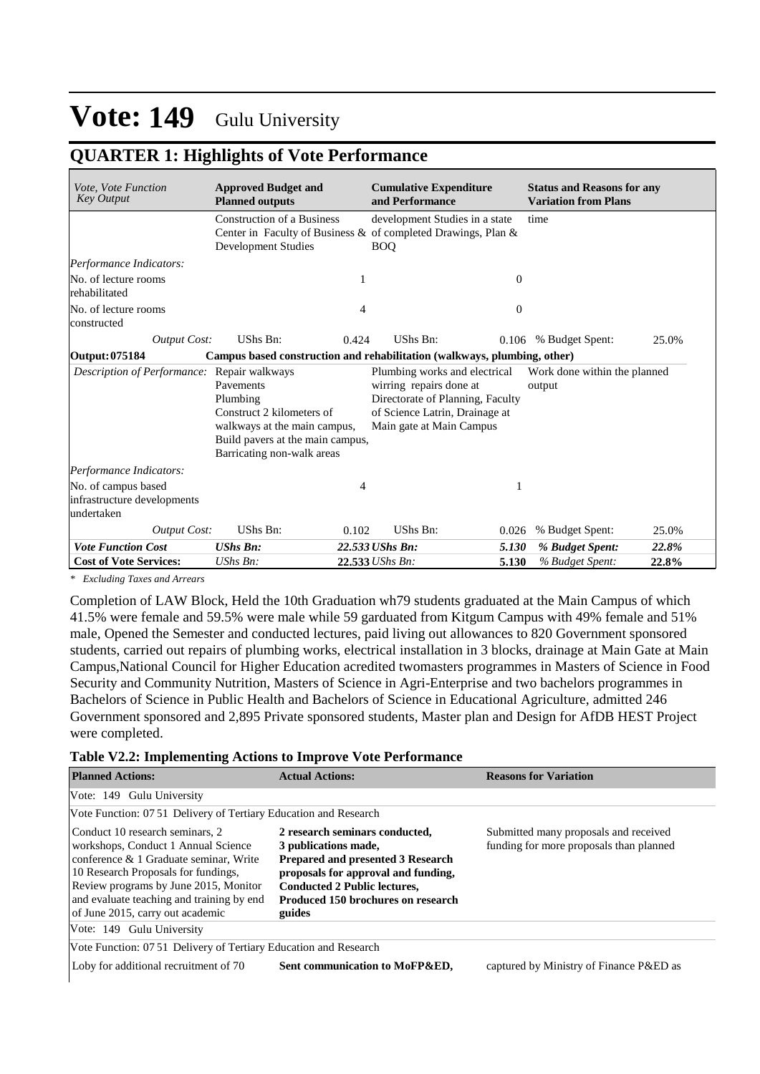### **QUARTER 1: Highlights of Vote Performance**

| Vote, Vote Function<br><b>Key Output</b>                         | <b>Approved Budget and</b><br><b>Planned outputs</b>                                                                                                                                                                                                                                                                                                                            | <b>Cumulative Expenditure</b><br>and Performance                                                                 | <b>Status and Reasons for any</b><br><b>Variation from Plans</b> |  |  |  |  |
|------------------------------------------------------------------|---------------------------------------------------------------------------------------------------------------------------------------------------------------------------------------------------------------------------------------------------------------------------------------------------------------------------------------------------------------------------------|------------------------------------------------------------------------------------------------------------------|------------------------------------------------------------------|--|--|--|--|
|                                                                  | <b>Construction of a Business</b><br><b>Development Studies</b>                                                                                                                                                                                                                                                                                                                 | development Studies in a state<br>Center in Faculty of Business & of completed Drawings, Plan $\&$<br><b>BOO</b> | time                                                             |  |  |  |  |
| Performance Indicators:                                          |                                                                                                                                                                                                                                                                                                                                                                                 |                                                                                                                  |                                                                  |  |  |  |  |
| No. of lecture rooms<br>rehabilitated                            |                                                                                                                                                                                                                                                                                                                                                                                 |                                                                                                                  | $\theta$                                                         |  |  |  |  |
| No. of lecture rooms<br>constructed                              |                                                                                                                                                                                                                                                                                                                                                                                 | 4                                                                                                                | $\theta$                                                         |  |  |  |  |
| <b>Output Cost:</b>                                              | UShs Bn:                                                                                                                                                                                                                                                                                                                                                                        | UShs Bn:<br>0.424                                                                                                | 25.0%<br>0.106 % Budget Spent:                                   |  |  |  |  |
| Output: 075184                                                   |                                                                                                                                                                                                                                                                                                                                                                                 | Campus based construction and rehabilitation (walkways, plumbing, other)                                         |                                                                  |  |  |  |  |
| Description of Performance:                                      | Repair walkways<br>Plumbing works and electrical<br>Work done within the planned<br>wirring repairs done at<br>Pavements<br>output<br>Directorate of Planning, Faculty<br>Plumbing<br>Construct 2 kilometers of<br>of Science Latrin, Drainage at<br>Main gate at Main Campus<br>walkways at the main campus,<br>Build pavers at the main campus,<br>Barricating non-walk areas |                                                                                                                  |                                                                  |  |  |  |  |
| Performance Indicators:                                          |                                                                                                                                                                                                                                                                                                                                                                                 |                                                                                                                  |                                                                  |  |  |  |  |
| No. of campus based<br>infrastructure developments<br>undertaken |                                                                                                                                                                                                                                                                                                                                                                                 | 4                                                                                                                |                                                                  |  |  |  |  |
| Output Cost:                                                     | UShs Bn:                                                                                                                                                                                                                                                                                                                                                                        | UShs Bn:<br>0.102                                                                                                | % Budget Spent:<br>25.0%<br>0.026                                |  |  |  |  |
| <b>Vote Function Cost</b>                                        | <b>UShs Bn:</b>                                                                                                                                                                                                                                                                                                                                                                 | 22.533 UShs Bn:                                                                                                  | 5.130<br>% Budget Spent:<br>22.8%                                |  |  |  |  |
| <b>Cost of Vote Services:</b>                                    | UShs Bn:                                                                                                                                                                                                                                                                                                                                                                        | 22.533 UShs Bn:                                                                                                  | 5.130<br>% Budget Spent:<br>22.8%                                |  |  |  |  |

*\* Excluding Taxes and Arrears*

Completion of LAW Block, Held the 10th Graduation wh79 students graduated at the Main Campus of which 41.5% were female and 59.5% were male while 59 garduated from Kitgum Campus with 49% female and 51% male, Opened the Semester and conducted lectures, paid living out allowances to 820 Government sponsored students, carried out repairs of plumbing works, electrical installation in 3 blocks, drainage at Main Gate at Main Campus,National Council for Higher Education acredited twomasters programmes in Masters of Science in Food Security and Community Nutrition, Masters of Science in Agri-Enterprise and two bachelors programmes in Bachelors of Science in Public Health and Bachelors of Science in Educational Agriculture, admitted 246 Government sponsored and 2,895 Private sponsored students, Master plan and Design for AfDB HEST Project were completed.

#### **Table V2.2: Implementing Actions to Improve Vote Performance**

| <b>Planned Actions:</b>                                                                                                                                                                                                                                                           | <b>Actual Actions:</b>                                                                                                                                                                                                    | <b>Reasons for Variation</b>                                                     |
|-----------------------------------------------------------------------------------------------------------------------------------------------------------------------------------------------------------------------------------------------------------------------------------|---------------------------------------------------------------------------------------------------------------------------------------------------------------------------------------------------------------------------|----------------------------------------------------------------------------------|
| Vote: 149 Gulu University                                                                                                                                                                                                                                                         |                                                                                                                                                                                                                           |                                                                                  |
| Vote Function: 07 51 Delivery of Tertiary Education and Research                                                                                                                                                                                                                  |                                                                                                                                                                                                                           |                                                                                  |
| Conduct 10 research seminars, 2<br>workshops, Conduct 1 Annual Science<br>conference & 1 Graduate seminar, Write<br>10 Research Proposals for fundings,<br>Review programs by June 2015, Monitor<br>and evaluate teaching and training by end<br>of June 2015, carry out academic | 2 research seminars conducted.<br>3 publications made,<br>Prepared and presented 3 Research<br>proposals for approval and funding,<br><b>Conducted 2 Public lectures,</b><br>Produced 150 brochures on research<br>guides | Submitted many proposals and received<br>funding for more proposals than planned |
| Vote: 149 Gulu University                                                                                                                                                                                                                                                         |                                                                                                                                                                                                                           |                                                                                  |
| Vote Function: 07 51 Delivery of Tertiary Education and Research                                                                                                                                                                                                                  |                                                                                                                                                                                                                           |                                                                                  |
| Loby for additional recruitment of 70                                                                                                                                                                                                                                             | Sent communication to MoFP&ED,                                                                                                                                                                                            | captured by Ministry of Finance P&ED as                                          |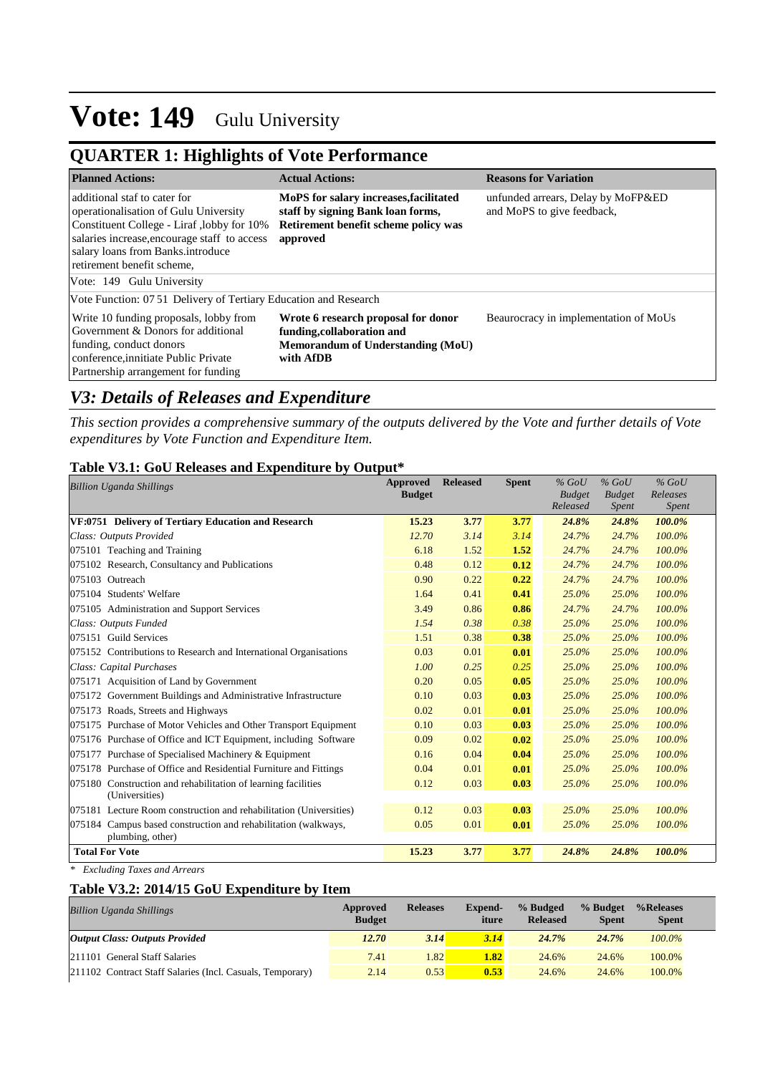## **QUARTER 1: Highlights of Vote Performance**

| <b>Planned Actions:</b>                                                                                                                                                                                                                | <b>Actual Actions:</b>                                                                                                          | <b>Reasons for Variation</b>                                     |
|----------------------------------------------------------------------------------------------------------------------------------------------------------------------------------------------------------------------------------------|---------------------------------------------------------------------------------------------------------------------------------|------------------------------------------------------------------|
| additional staf to cater for<br>operationalisation of Gulu University<br>Constituent College - Liraf, lobby for 10%<br>salaries increase, encourage staff to access<br>salary loans from Banks.introduce<br>retirement benefit scheme, | MoPS for salary increases, facilitated<br>staff by signing Bank loan forms,<br>Retirement benefit scheme policy was<br>approved | unfunded arrears, Delay by MoFP&ED<br>and MoPS to give feedback, |
| Vote: 149 Gulu University                                                                                                                                                                                                              |                                                                                                                                 |                                                                  |
| Vote Function: 07 51 Delivery of Tertiary Education and Research                                                                                                                                                                       |                                                                                                                                 |                                                                  |
| Write 10 funding proposals, lobby from<br>Government & Donors for additional<br>funding, conduct donors<br>conference, innitiate Public Private<br>Partnership arrangement for funding                                                 | Wrote 6 research proposal for donor<br>funding, collaboration and<br>Memorandum of Understanding (MoU)<br>with AfDB             | Beaurocracy in implementation of MoUs                            |

### *V3: Details of Releases and Expenditure*

*This section provides a comprehensive summary of the outputs delivered by the Vote and further details of Vote expenditures by Vote Function and Expenditure Item.*

#### **Table V3.1: GoU Releases and Expenditure by Output\***

| <b>Billion Uganda Shillings</b>                                                 | <b>Approved</b><br><b>Budget</b> | <b>Released</b> | <b>Spent</b> | $%$ GoU<br><b>Budget</b> | $%$ GoU<br><b>Budget</b> | $%$ GoU<br>Releases |
|---------------------------------------------------------------------------------|----------------------------------|-----------------|--------------|--------------------------|--------------------------|---------------------|
|                                                                                 |                                  |                 |              | Released                 | Spent                    | Spent               |
| VF:0751 Delivery of Tertiary Education and Research                             | 15.23                            | 3.77            | 3.77         | 24.8%                    | 24.8%                    | 100.0%              |
| Class: Outputs Provided                                                         | 12.70                            | 3.14            | 3.14         | 24.7%                    | 24.7%                    | 100.0%              |
| 075101 Teaching and Training                                                    | 6.18                             | 1.52            | 1.52         | 24.7%                    | 24.7%                    | 100.0%              |
| 075102 Research, Consultancy and Publications                                   | 0.48                             | 0.12            | 0.12         | 24.7%                    | 24.7%                    | 100.0%              |
| 075103 Outreach                                                                 | 0.90                             | 0.22            | 0.22         | 24.7%                    | 24.7%                    | 100.0%              |
| 075104 Students' Welfare                                                        | 1.64                             | 0.41            | 0.41         | 25.0%                    | 25.0%                    | 100.0%              |
| 075105 Administration and Support Services                                      | 3.49                             | 0.86            | 0.86         | 24.7%                    | 24.7%                    | 100.0%              |
| Class: Outputs Funded                                                           | 1.54                             | 0.38            | 0.38         | 25.0%                    | $25.0\%$                 | 100.0%              |
| 075151 Guild Services                                                           | 1.51                             | 0.38            | 0.38         | 25.0%                    | 25.0%                    | 100.0%              |
| 075152 Contributions to Research and International Organisations                | 0.03                             | 0.01            | 0.01         | 25.0%                    | 25.0%                    | 100.0%              |
| Class: Capital Purchases                                                        | 1.00                             | 0.25            | 0.25         | 25.0%                    | $25.0\%$                 | 100.0%              |
| 075171 Acquisition of Land by Government                                        | 0.20                             | 0.05            | 0.05         | 25.0%                    | 25.0%                    | 100.0%              |
| 075172 Government Buildings and Administrative Infrastructure                   | 0.10                             | 0.03            | 0.03         | 25.0%                    | 25.0%                    | 100.0%              |
| 075173 Roads, Streets and Highways                                              | 0.02                             | 0.01            | 0.01         | 25.0%                    | $25.0\%$                 | 100.0%              |
| 075175 Purchase of Motor Vehicles and Other Transport Equipment                 | 0.10                             | 0.03            | 0.03         | 25.0%                    | 25.0%                    | 100.0%              |
| 075176 Purchase of Office and ICT Equipment, including Software                 | 0.09                             | 0.02            | 0.02         | 25.0%                    | 25.0%                    | 100.0%              |
| 075177 Purchase of Specialised Machinery & Equipment                            | 0.16                             | 0.04            | 0.04         | 25.0%                    | 25.0%                    | 100.0%              |
| 075178 Purchase of Office and Residential Furniture and Fittings                | 0.04                             | 0.01            | 0.01         | 25.0%                    | 25.0%                    | 100.0%              |
| 075180 Construction and rehabilitation of learning facilities<br>(Universities) | 0.12                             | 0.03            | 0.03         | 25.0%                    | 25.0%                    | 100.0%              |
| 075181 Lecture Room construction and rehabilitation (Universities)              | 0.12                             | 0.03            | 0.03         | 25.0%                    | 25.0%                    | 100.0%              |
| 075184 Campus based construction and rehabilitation (walkways,                  | 0.05                             | 0.01            | 0.01         | 25.0%                    | 25.0%                    | 100.0%              |
| plumbing, other)                                                                |                                  |                 |              |                          |                          |                     |
| <b>Total For Vote</b>                                                           | 15.23                            | 3.77            | 3.77         | 24.8%                    | 24.8%                    | 100.0%              |

*\* Excluding Taxes and Arrears*

### **Table V3.2: 2014/15 GoU Expenditure by Item**

| <b>Billion Uganda Shillings</b>                           | Approved<br><b>Budget</b> | <b>Releases</b> | <b>Expend-</b><br>iture | % Budged<br><b>Released</b> | % Budget<br><b>Spent</b> | %Releases<br><b>Spent</b> |
|-----------------------------------------------------------|---------------------------|-----------------|-------------------------|-----------------------------|--------------------------|---------------------------|
| <b>Output Class: Outputs Provided</b>                     | 12.70                     | 3.14            | 3.14                    | 24.7%                       | 24.7%                    | $100.0\%$                 |
| 211101 General Staff Salaries                             | 7.41                      | .82             | 1.82                    | 24.6%                       | 24.6%                    | 100.0%                    |
| 211102 Contract Staff Salaries (Incl. Casuals, Temporary) | 2.14                      | 0.53            | 0.53                    | 24.6%                       | 24.6%                    | 100.0%                    |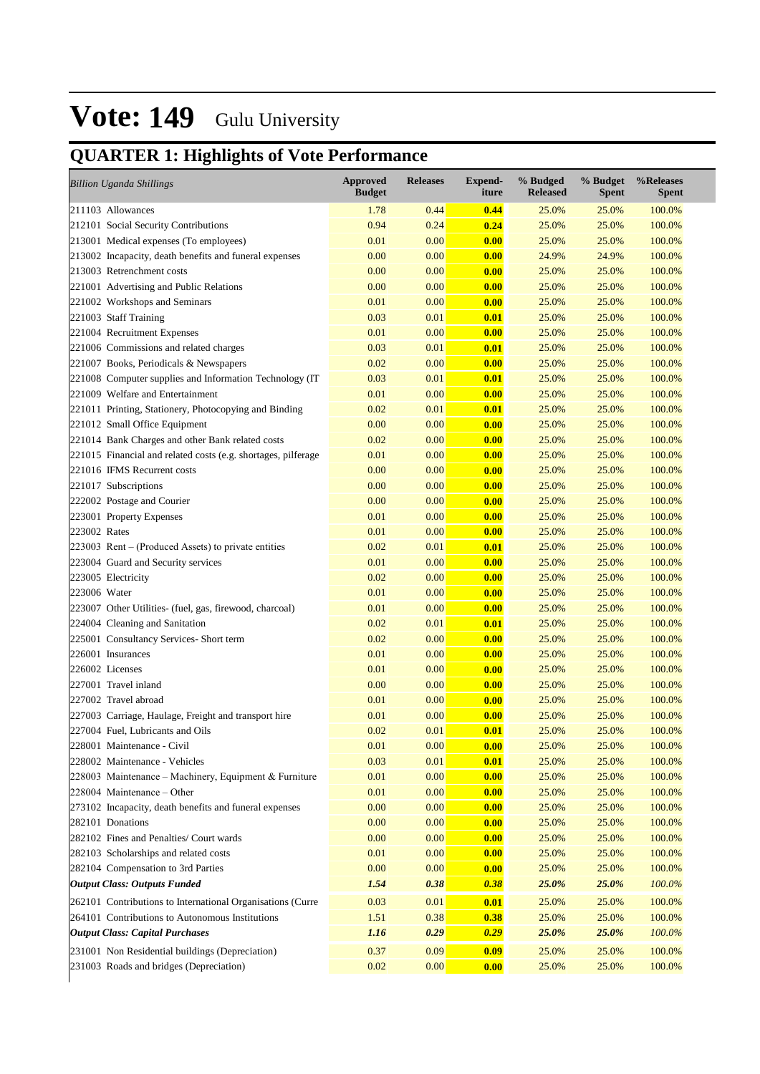## **QUARTER 1: Highlights of Vote Performance**

|              | <b>Billion Uganda Shillings</b>                               | <b>Approved</b><br><b>Budget</b> | <b>Releases</b> | <b>Expend-</b><br>iture | % Budged<br><b>Released</b> | % Budget<br><b>Spent</b> | %Releases<br><b>Spent</b> |
|--------------|---------------------------------------------------------------|----------------------------------|-----------------|-------------------------|-----------------------------|--------------------------|---------------------------|
|              | 211103 Allowances                                             | 1.78                             | 0.44            | 0.44                    | 25.0%                       | 25.0%                    | 100.0%                    |
|              | 212101 Social Security Contributions                          | 0.94                             | 0.24            | 0.24                    | 25.0%                       | 25.0%                    | 100.0%                    |
|              | 213001 Medical expenses (To employees)                        | 0.01                             | 0.00            | 0.00                    | 25.0%                       | 25.0%                    | 100.0%                    |
|              | 213002 Incapacity, death benefits and funeral expenses        | 0.00                             | 0.00            | 0.00                    | 24.9%                       | 24.9%                    | 100.0%                    |
|              | 213003 Retrenchment costs                                     | 0.00                             | 0.00            | 0.00                    | 25.0%                       | 25.0%                    | 100.0%                    |
|              | 221001 Advertising and Public Relations                       | 0.00                             | 0.00            | 0.00                    | 25.0%                       | 25.0%                    | 100.0%                    |
|              | 221002 Workshops and Seminars                                 | 0.01                             | 0.00            | 0.00                    | 25.0%                       | 25.0%                    | 100.0%                    |
|              | 221003 Staff Training                                         | 0.03                             | 0.01            | 0.01                    | 25.0%                       | 25.0%                    | 100.0%                    |
|              | 221004 Recruitment Expenses                                   | 0.01                             | 0.00            | 0.00                    | 25.0%                       | 25.0%                    | 100.0%                    |
|              | 221006 Commissions and related charges                        | 0.03                             | 0.01            | 0.01                    | 25.0%                       | 25.0%                    | 100.0%                    |
|              | 221007 Books, Periodicals & Newspapers                        | 0.02                             | 0.00            | 0.00                    | 25.0%                       | 25.0%                    | 100.0%                    |
|              | 221008 Computer supplies and Information Technology (IT)      | 0.03                             | 0.01            | 0.01                    | 25.0%                       | 25.0%                    | 100.0%                    |
|              | 221009 Welfare and Entertainment                              | 0.01                             | 0.00            | 0.00                    | 25.0%                       | 25.0%                    | 100.0%                    |
|              | 221011 Printing, Stationery, Photocopying and Binding         | 0.02                             | 0.01            | 0.01                    | 25.0%                       | 25.0%                    | 100.0%                    |
|              | 221012 Small Office Equipment                                 | 0.00                             | 0.00            | 0.00                    | 25.0%                       | 25.0%                    | 100.0%                    |
|              | 221014 Bank Charges and other Bank related costs              | 0.02                             | 0.00            | 0.00                    | 25.0%                       | 25.0%                    | 100.0%                    |
|              | 221015 Financial and related costs (e.g. shortages, pilferage | 0.01                             | 0.00            | 0.00                    | 25.0%                       | 25.0%                    | 100.0%                    |
|              | 221016 IFMS Recurrent costs                                   | 0.00                             | 0.00            | 0.00                    | 25.0%                       | 25.0%                    | 100.0%                    |
|              | 221017 Subscriptions                                          | 0.00                             | 0.00            | 0.00                    | 25.0%                       | 25.0%                    | 100.0%                    |
|              | 222002 Postage and Courier                                    | 0.00                             | 0.00            | 0.00                    | 25.0%                       | 25.0%                    | 100.0%                    |
|              | 223001 Property Expenses                                      | 0.01                             | 0.00            | 0.00                    | 25.0%                       | 25.0%                    | 100.0%                    |
| 223002 Rates |                                                               | 0.01                             | 0.00            | 0.00                    | 25.0%                       | 25.0%                    | 100.0%                    |
|              | $223003$ Rent – (Produced Assets) to private entities         | 0.02                             | 0.01            | 0.01                    | 25.0%                       | 25.0%                    | 100.0%                    |
|              | 223004 Guard and Security services                            | 0.01                             | 0.00            | 0.00                    | 25.0%                       | 25.0%                    | 100.0%                    |
|              | 223005 Electricity                                            | 0.02                             | 0.00            | 0.00                    | 25.0%                       | 25.0%                    | 100.0%                    |
| 223006 Water |                                                               | 0.01                             | 0.00            | 0.00                    | 25.0%                       | 25.0%                    | 100.0%                    |
|              | 223007 Other Utilities- (fuel, gas, firewood, charcoal)       | 0.01                             | 0.00            | 0.00                    | 25.0%                       | 25.0%                    | 100.0%                    |
|              | 224004 Cleaning and Sanitation                                | 0.02                             | 0.01            | 0.01                    | 25.0%                       | 25.0%                    | 100.0%                    |
|              | 225001 Consultancy Services- Short term                       | 0.02                             | 0.00            | 0.00                    | 25.0%                       | 25.0%                    | 100.0%                    |
|              | 226001 Insurances                                             | 0.01                             | 0.00            | 0.00                    | 25.0%                       | 25.0%                    | 100.0%                    |
|              | 226002 Licenses                                               | 0.01                             | 0.00            | 0.00                    | 25.0%                       | 25.0%                    | 100.0%                    |
|              | 227001 Travel inland                                          | 0.00                             | 0.00            | 0.00                    | 25.0%                       | 25.0%                    | 100.0%                    |
|              | 227002 Travel abroad                                          | 0.01                             | 0.00            | 0.00                    | 25.0%                       | 25.0%                    | 100.0%                    |
|              | 227003 Carriage, Haulage, Freight and transport hire          | 0.01                             | 0.00            | 0.00                    | 25.0%                       | 25.0%                    | 100.0%                    |
|              | 227004 Fuel, Lubricants and Oils                              | 0.02                             | 0.01            | 0.01                    | 25.0%                       | 25.0%                    | 100.0%                    |
|              | 228001 Maintenance - Civil                                    | 0.01                             | 0.00            | 0.00                    | 25.0%                       | 25.0%                    | 100.0%                    |
|              | 228002 Maintenance - Vehicles                                 | 0.03                             | 0.01            | 0.01                    | 25.0%                       | 25.0%                    | 100.0%                    |
|              | 228003 Maintenance – Machinery, Equipment & Furniture         | 0.01                             | 0.00            | 0.00                    | 25.0%                       | 25.0%                    | 100.0%                    |
|              | $ 228004$ Maintenance – Other                                 | 0.01                             | 0.00            | 0.00                    | 25.0%                       | 25.0%                    | 100.0%                    |
|              | 273102 Incapacity, death benefits and funeral expenses        | 0.00                             | 0.00            | 0.00                    | 25.0%                       | 25.0%                    | 100.0%                    |
|              | 282101 Donations                                              | 0.00                             | 0.00            | 0.00                    | 25.0%                       | 25.0%                    | 100.0%                    |
|              | 282102 Fines and Penalties/ Court wards                       | 0.00                             | 0.00            | 0.00                    | 25.0%                       | 25.0%                    | 100.0%                    |
|              | 282103 Scholarships and related costs                         | 0.01                             | 0.00            | 0.00                    | 25.0%                       | 25.0%                    | 100.0%                    |
|              | 282104 Compensation to 3rd Parties                            | 0.00                             | 0.00            | 0.00                    | 25.0%                       | 25.0%                    | 100.0%                    |
|              | <b>Output Class: Outputs Funded</b>                           | 1.54                             | 0.38            | 0.38                    | 25.0%                       | 25.0%                    | 100.0%                    |
|              | 262101 Contributions to International Organisations (Curre    | 0.03                             | 0.01            | 0.01                    | 25.0%                       | 25.0%                    | 100.0%                    |
|              | 264101 Contributions to Autonomous Institutions               | 1.51                             | 0.38            | 0.38                    | 25.0%                       | 25.0%                    | 100.0%                    |
|              | <b>Output Class: Capital Purchases</b>                        | 1.16                             | 0.29            | 0.29                    | 25.0%                       | 25.0%                    | 100.0%                    |
|              | 231001 Non Residential buildings (Depreciation)               | 0.37                             | 0.09            | 0.09                    | 25.0%                       | 25.0%                    | 100.0%                    |
|              | 231003 Roads and bridges (Depreciation)                       | 0.02                             | 0.00            | 0.00                    | 25.0%                       | 25.0%                    | 100.0%                    |